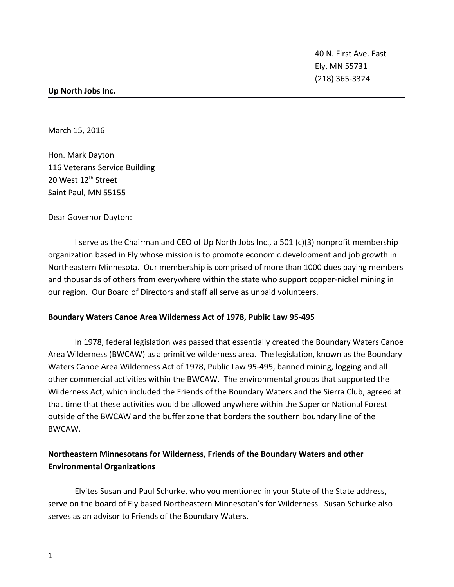40 N. First Ave. East Ely, MN 55731 (218) 365-3324

#### **Up North Jobs Inc.**

March 15, 2016

Hon. Mark Dayton 116 Veterans Service Building 20 West 12<sup>th</sup> Street Saint Paul, MN 55155

Dear Governor Dayton:

I serve as the Chairman and CEO of Up North Jobs Inc., a 501 (c)(3) nonprofit membership organization based in Ely whose mission is to promote economic development and job growth in Northeastern Minnesota. Our membership is comprised of more than 1000 dues paying members and thousands of others from everywhere within the state who support copper-nickel mining in our region. Our Board of Directors and staff all serve as unpaid volunteers.

#### **Boundary Waters Canoe Area Wilderness Act of 1978, Public Law 95-495**

In 1978, federal legislation was passed that essentially created the Boundary Waters Canoe Area Wilderness (BWCAW) as a primitive wilderness area. The legislation, known as the Boundary Waters Canoe Area Wilderness Act of 1978, Public Law 95-495, banned mining, logging and all other commercial activities within the BWCAW. The environmental groups that supported the Wilderness Act, which included the Friends of the Boundary Waters and the Sierra Club, agreed at that time that these activities would be allowed anywhere within the Superior National Forest outside of the BWCAW and the buffer zone that borders the southern boundary line of the BWCAW.

# **Northeastern Minnesotans for Wilderness, Friends of the Boundary Waters and other Environmental Organizations**

Elyites Susan and Paul Schurke, who you mentioned in your State of the State address, serve on the board of Ely based Northeastern Minnesotan's for Wilderness. Susan Schurke also serves as an advisor to Friends of the Boundary Waters.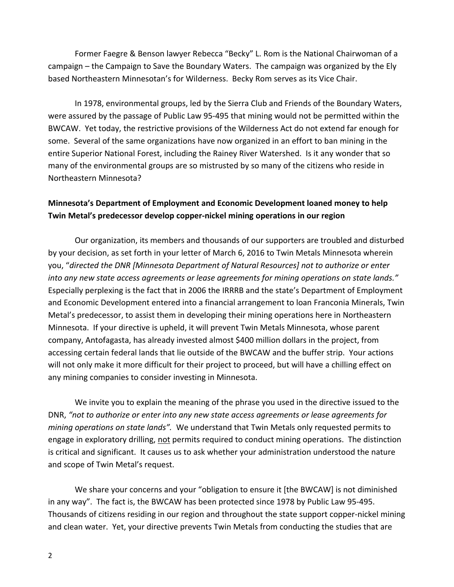Former Faegre & Benson lawyer Rebecca "Becky" L. Rom is the National Chairwoman of a campaign – the Campaign to Save the Boundary Waters. The campaign was organized by the Ely based Northeastern Minnesotan's for Wilderness. Becky Rom serves as its Vice Chair.

In 1978, environmental groups, led by the Sierra Club and Friends of the Boundary Waters, were assured by the passage of Public Law 95-495 that mining would not be permitted within the BWCAW. Yet today, the restrictive provisions of the Wilderness Act do not extend far enough for some. Several of the same organizations have now organized in an effort to ban mining in the entire Superior National Forest, including the Rainey River Watershed. Is it any wonder that so many of the environmental groups are so mistrusted by so many of the citizens who reside in Northeastern Minnesota?

# **Minnesota's Department of Employment and Economic Development loaned money to help Twin Metal's predecessor develop copper-nickel mining operations in our region**

Our organization, its members and thousands of our supporters are troubled and disturbed by your decision, as set forth in your letter of March 6, 2016 to Twin Metals Minnesota wherein you, "*directed the DNR [Minnesota Department of Natural Resources] not to authorize or enter into any new state access agreements or lease agreements for mining operations on state lands."*  Especially perplexing is the fact that in 2006 the IRRRB and the state's Department of Employment and Economic Development entered into a financial arrangement to loan Franconia Minerals, Twin Metal's predecessor, to assist them in developing their mining operations here in Northeastern Minnesota. If your directive is upheld, it will prevent Twin Metals Minnesota, whose parent company, Antofagasta, has already invested almost \$400 million dollars in the project, from accessing certain federal lands that lie outside of the BWCAW and the buffer strip. Your actions will not only make it more difficult for their project to proceed, but will have a chilling effect on any mining companies to consider investing in Minnesota.

We invite you to explain the meaning of the phrase you used in the directive issued to the DNR, *"not to authorize or enter into any new state access agreements or lease agreements for mining operations on state lands".* We understand that Twin Metals only requested permits to engage in exploratory drilling, not permits required to conduct mining operations. The distinction is critical and significant. It causes us to ask whether your administration understood the nature and scope of Twin Metal's request.

We share your concerns and your "obligation to ensure it [the BWCAW] is not diminished in any way". The fact is, the BWCAW has been protected since 1978 by Public Law 95-495. Thousands of citizens residing in our region and throughout the state support copper-nickel mining and clean water. Yet, your directive prevents Twin Metals from conducting the studies that are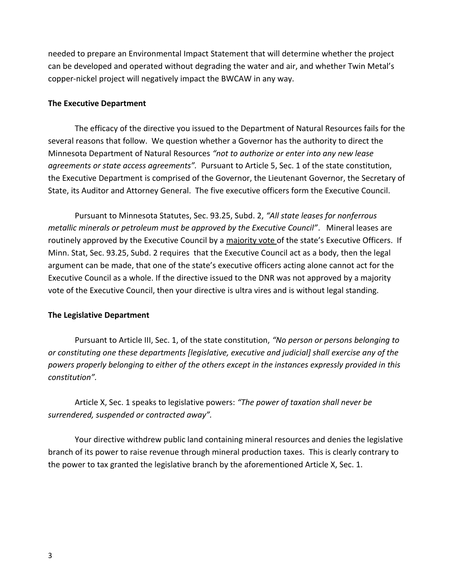needed to prepare an Environmental Impact Statement that will determine whether the project can be developed and operated without degrading the water and air, and whether Twin Metal's copper-nickel project will negatively impact the BWCAW in any way.

### **The Executive Department**

The efficacy of the directive you issued to the Department of Natural Resources fails for the several reasons that follow. We question whether a Governor has the authority to direct the Minnesota Department of Natural Resources *"not to authorize or enter into any new lease agreements or state access agreements".* Pursuant to Article 5, Sec. 1 of the state constitution, the Executive Department is comprised of the Governor, the Lieutenant Governor, the Secretary of State, its Auditor and Attorney General. The five executive officers form the Executive Council.

Pursuant to Minnesota Statutes, Sec. 93.25, Subd. 2, *"All state leases for nonferrous metallic minerals or petroleum must be approved by the Executive Council"*. Mineral leases are routinely approved by the Executive Council by a majority vote of the state's Executive Officers. If Minn. Stat, Sec. 93.25, Subd. 2 requires that the Executive Council act as a body, then the legal argument can be made, that one of the state's executive officers acting alone cannot act for the Executive Council as a whole. If the directive issued to the DNR was not approved by a majority vote of the Executive Council, then your directive is ultra vires and is without legal standing.

# **The Legislative Department**

Pursuant to Article III, Sec. 1, of the state constitution, *"No person or persons belonging to or constituting one these departments [legislative, executive and judicial] shall exercise any of the powers properly belonging to either of the others except in the instances expressly provided in this constitution".*

Article X, Sec. 1 speaks to legislative powers: *"The power of taxation shall never be surrendered, suspended or contracted away".* 

Your directive withdrew public land containing mineral resources and denies the legislative branch of its power to raise revenue through mineral production taxes. This is clearly contrary to the power to tax granted the legislative branch by the aforementioned Article X, Sec. 1.